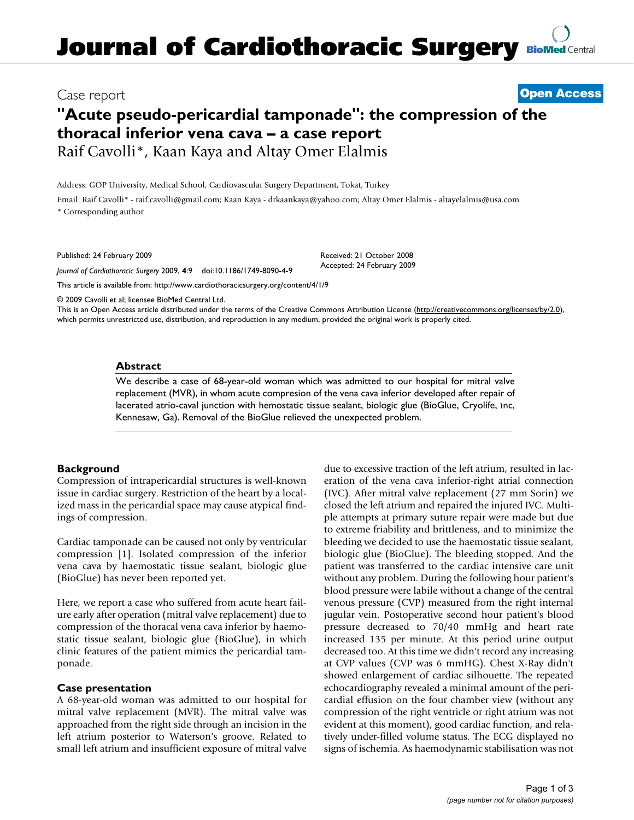# Case report **[Open Access](http://www.biomedcentral.com/info/about/charter/)**

# **"Acute pseudo-pericardial tamponade": the compression of the thoracal inferior vena cava – a case report** Raif Cavolli\*, Kaan Kaya and Altay Omer Elalmis

Address: GOP University, Medical School, Cardiovascular Surgery Department, Tokat, Turkey

Email: Raif Cavolli\* - raif.cavolli@gmail.com; Kaan Kaya - drkaankaya@yahoo.com; Altay Omer Elalmis - altayelalmis@usa.com \* Corresponding author

Published: 24 February 2009

*Journal of Cardiothoracic Surgery* 2009, **4**:9 doi:10.1186/1749-8090-4-9

[This article is available from: http://www.cardiothoracicsurgery.org/content/4/1/9](http://www.cardiothoracicsurgery.org/content/4/1/9)

© 2009 Cavolli et al; licensee BioMed Central Ltd.

This is an Open Access article distributed under the terms of the Creative Commons Attribution License [\(http://creativecommons.org/licenses/by/2.0\)](http://creativecommons.org/licenses/by/2.0), which permits unrestricted use, distribution, and reproduction in any medium, provided the original work is properly cited.

Received: 21 October 2008 Accepted: 24 February 2009

#### **Abstract**

We describe a case of 68-year-old woman which was admitted to our hospital for mitral valve replacement (MVR), in whom acute compresion of the vena cava inferior developed after repair of lacerated atrio-caval junction with hemostatic tissue sealant, biologic glue (BioGlue, Cryolife, ınc, Kennesaw, Ga). Removal of the BioGlue relieved the unexpected problem.

# **Background**

Compression of intrapericardial structures is well-known issue in cardiac surgery. Restriction of the heart by a localized mass in the pericardial space may cause atypical findings of compression.

Cardiac tamponade can be caused not only by ventricular compression [1]. Isolated compression of the inferior vena cava by haemostatic tissue sealant, biologic glue (BioGlue) has never been reported yet.

Here, we report a case who suffered from acute heart failure early after operation (mitral valve replacement) due to compression of the thoracal vena cava inferior by haemostatic tissue sealant, biologic glue (BioGlue), in which clinic features of the patient mimics the pericardial tamponade.

#### **Case presentation**

A 68-year-old woman was admitted to our hospital for mitral valve replacement (MVR). The mitral valve was approached from the right side through an incision in the left atrium posterior to Waterson's groove. Related to small left atrium and insufficient exposure of mitral valve due to excessive traction of the left atrium, resulted in laceration of the vena cava inferior-right atrial connection (IVC). After mitral valve replacement (27 mm Sorin) we closed the left atrium and repaired the injured IVC. Multiple attempts at primary suture repair were made but due to extreme friability and brittleness, and to minimize the bleeding we decided to use the haemostatic tissue sealant, biologic glue (BioGlue). The bleeding stopped. And the patient was transferred to the cardiac intensive care unit without any problem. During the following hour patient's blood pressure were labile without a change of the central venous pressure (CVP) measured from the right internal jugular vein. Postoperative second hour patient's blood pressure decreased to 70/40 mmHg and heart rate increased 135 per minute. At this period urine output decreased too. At this time we didn't record any increasing at CVP values (CVP was 6 mmHG). Chest X-Ray didn't showed enlargement of cardiac silhouette. The repeated echocardiography revealed a minimal amount of the pericardial effusion on the four chamber view (without any compression of the right ventricle or right atrium was not evident at this moment), good cardiac function, and relatively under-filled volume status. The ECG displayed no signs of ischemia. As haemodynamic stabilisation was not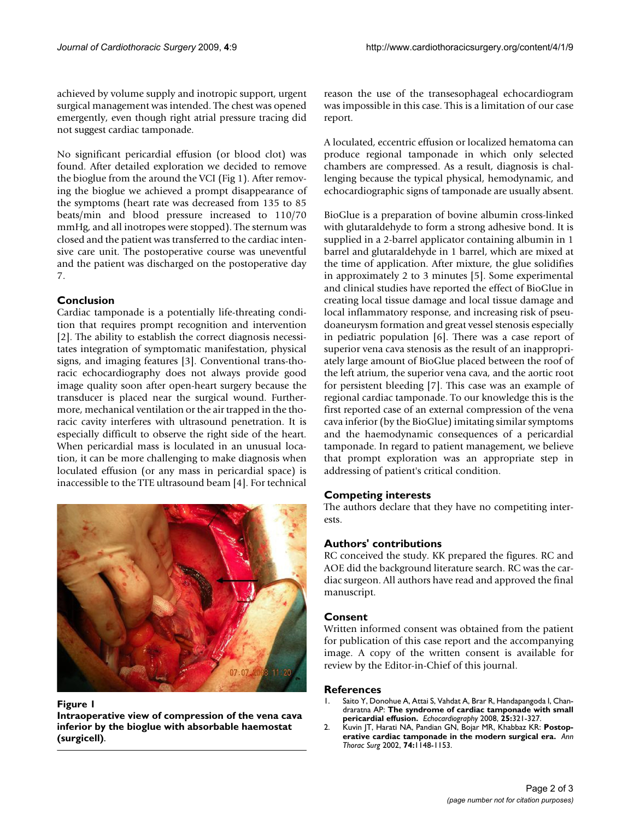achieved by volume supply and inotropic support, urgent surgical management was intended. The chest was opened emergently, even though right atrial pressure tracing did not suggest cardiac tamponade.

No significant pericardial effusion (or blood clot) was found. After detailed exploration we decided to remove the bioglue from the around the VCI (Fig 1). After removing the bioglue we achieved a prompt disappearance of the symptoms (heart rate was decreased from 135 to 85 beats/min and blood pressure increased to 110/70 mmHg, and all inotropes were stopped). The sternum was closed and the patient was transferred to the cardiac intensive care unit. The postoperative course was uneventful and the patient was discharged on the postoperative day 7.

# **Conclusion**

Cardiac tamponade is a potentially life-threating condition that requires prompt recognition and intervention [2]. The ability to establish the correct diagnosis necessitates integration of symptomatic manifestation, physical signs, and imaging features [3]. Conventional trans-thoracic echocardiography does not always provide good image quality soon after open-heart surgery because the transducer is placed near the surgical wound. Furthermore, mechanical ventilation or the air trapped in the thoracic cavity interferes with ultrasound penetration. It is especially difficult to observe the right side of the heart. When pericardial mass is loculated in an unusual location, it can be more challenging to make diagnosis when loculated effusion (or any mass in pericardial space) is inaccessible to the TTE ultrasound beam [4]. For technical



#### Figure 1

**Intraoperative view of compression of the vena cava inferior by the bioglue with absorbable haemostat (surgicell)**.

reason the use of the transesophageal echocardiogram was impossible in this case. This is a limitation of our case report.

A loculated, eccentric effusion or localized hematoma can produce regional tamponade in which only selected chambers are compressed. As a result, diagnosis is challenging because the typical physical, hemodynamic, and echocardiographic signs of tamponade are usually absent.

BioGlue is a preparation of bovine albumin cross-linked with glutaraldehyde to form a strong adhesive bond. It is supplied in a 2-barrel applicator containing albumin in 1 barrel and glutaraldehyde in 1 barrel, which are mixed at the time of application. After mixture, the glue solidifies in approximately 2 to 3 minutes [5]. Some experimental and clinical studies have reported the effect of BioGlue in creating local tissue damage and local tissue damage and local inflammatory response, and increasing risk of pseudoaneurysm formation and great vessel stenosis especially in pediatric population [6]. There was a case report of superior vena cava stenosis as the result of an inappropriately large amount of BioGlue placed between the roof of the left atrium, the superior vena cava, and the aortic root for persistent bleeding [7]. This case was an example of regional cardiac tamponade. To our knowledge this is the first reported case of an external compression of the vena cava inferior (by the BioGlue) imitating similar symptoms and the haemodynamic consequences of a pericardial tamponade. In regard to patient management, we believe that prompt exploration was an appropriate step in addressing of patient's critical condition.

# **Competing interests**

The authors declare that they have no competiting interests.

# **Authors' contributions**

RC conceived the study. KK prepared the figures. RC and AOE did the background literature search. RC was the cardiac surgeon. All authors have read and approved the final manuscript.

#### **Consent**

Written informed consent was obtained from the patient for publication of this case report and the accompanying image. A copy of the written consent is available for review by the Editor-in-Chief of this journal.

#### **References**

- 1. Saito Y, Donohue A, Attai S, Vahdat A, Brar R, Handapangoda I, Chandraratna AP: **[The syndrome of cardiac tamponade with small](http://www.ncbi.nlm.nih.gov/entrez/query.fcgi?cmd=Retrieve&db=PubMed&dopt=Abstract&list_uids=18307446) [pericardial effusion.](http://www.ncbi.nlm.nih.gov/entrez/query.fcgi?cmd=Retrieve&db=PubMed&dopt=Abstract&list_uids=18307446)** *Echocardiography* 2008, **25:**321-327.
- 2. Kuvin JT, Harati NA, Pandian GN, Bojar MR, Khabbaz KR: **[Postop](http://www.ncbi.nlm.nih.gov/entrez/query.fcgi?cmd=Retrieve&db=PubMed&dopt=Abstract&list_uids=12400760)[erative cardiac tamponade in the modern surgical era.](http://www.ncbi.nlm.nih.gov/entrez/query.fcgi?cmd=Retrieve&db=PubMed&dopt=Abstract&list_uids=12400760)** *Ann Thorac Surg* 2002, **74:**1148-1153.